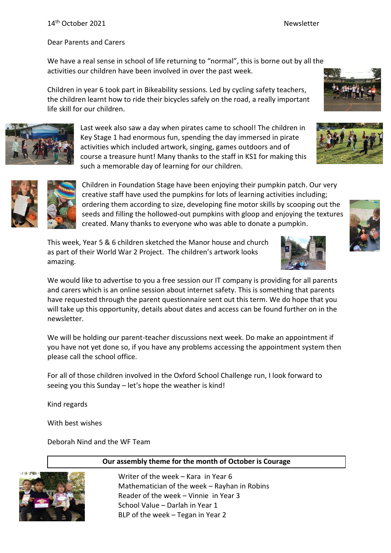#### 14<sup>th</sup> October 2021 Newsletter

#### Dear Parents and Carers

We have a real sense in school of life returning to "normal", this is borne out by all the activities our children have been involved in over the past week.

Children in year 6 took part in Bikeability sessions. Led by cycling safety teachers, the children learnt how to ride their bicycles safely on the road, a really important life skill for our children.



Last week also saw a day when pirates came to school! The children in Key Stage 1 had enormous fun, spending the day immersed in pirate activities which included artwork, singing, games outdoors and of course a treasure hunt! Many thanks to the staff in KS1 for making this such a memorable day of learning for our children.



Children in Foundation Stage have been enjoying their pumpkin patch. Our very creative staff have used the pumpkins for lots of learning activities including; ordering them according to size, developing fine motor skills by scooping out the seeds and filling the hollowed-out pumpkins with gloop and enjoying the textures created. Many thanks to everyone who was able to donate a pumpkin.

This week, Year 5 & 6 children sketched the Manor house and church as part of their World War 2 Project. The children's artwork looks amazing.





We will be holding our parent-teacher discussions next week. Do make an appointment if you have not yet done so, if you have any problems accessing the appointment system then please call the school office.

For all of those children involved in the Oxford School Challenge run, I look forward to seeing you this Sunday – let's hope the weather is kind!

Kind regards

With best wishes

Deborah Nind and the WF Team



#### **Our assembly theme for the month of October is Courage**

Writer of the week – Kara in Year 6 Mathematician of the week – Rayhan in Robins Reader of the week – Vinnie in Year 3 School Value – Darlah in Year 1 BLP of the week – Tegan in Year 2

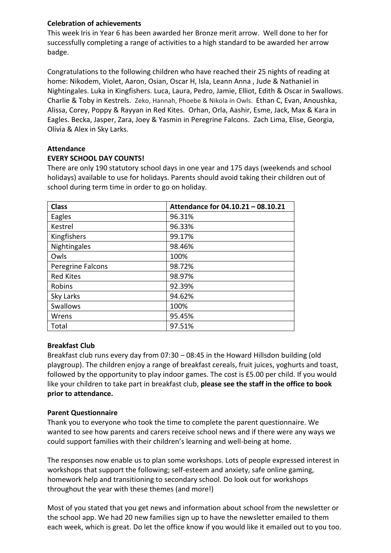### **Celebration of achievements**

This week Iris in Year 6 has been awarded her Bronze merit arrow. Well done to her for successfully completing a range of activities to a high standard to be awarded her arrow badge.

Congratulations to the following children who have reached their 25 nights of reading at home: Nikodem, Violet, Aaron, Osian, Oscar H, Isla, Leann Anna , Jude & Nathaniel in Nightingales. Luka in Kingfishers. Luca, Laura, Pedro, Jamie, Elliot, Edith & Oscar in Swallows. Charlie & Toby in Kestrels. Zeko, Hannah, Phoebe & Nikola in Owls. Ethan C, Evan, Anoushka, Alissa, Corey, Poppy & Rayyan in Red Kites. Orhan, Orla, Aashir, Esme, Jack, Max & Kara in Eagles. Becka, Jasper, Zara, Joey & Yasmin in Peregrine Falcons. Zach Lima, Elise, Georgia, Olivia & Alex in Sky Larks.

### **Attendance**

### **EVERY SCHOOL DAY COUNTS!**

There are only 190 statutory school days in one year and 175 days (weekends and school holidays) available to use for holidays. Parents should avoid taking their children out of school during term time in order to go on holiday.

| <b>Class</b>      | Attendance for 04.10.21 - 08.10.21 |
|-------------------|------------------------------------|
| Eagles            | 96.31%                             |
| Kestrel           | 96.33%                             |
| Kingfishers       | 99.17%                             |
| Nightingales      | 98.46%                             |
| Owls              | 100%                               |
| Peregrine Falcons | 98.72%                             |
| <b>Red Kites</b>  | 98.97%                             |
| Robins            | 92.39%                             |
| Sky Larks         | 94.62%                             |
| <b>Swallows</b>   | 100%                               |
| Wrens             | 95.45%                             |
| Total             | 97.51%                             |

#### **Breakfast Club**

Breakfast club runs every day from 07:30 – 08:45 in the Howard Hillsdon building (old playgroup). The children enjoy a range of breakfast cereals, fruit juices, yoghurts and toast, followed by the opportunity to play indoor games. The cost is £5.00 per child. If you would like your children to take part in breakfast club, **please see the staff in the office to book prior to attendance.**

#### **Parent Questionnaire**

Thank you to everyone who took the time to complete the parent questionnaire. We wanted to see how parents and carers receive school news and if there were any ways we could support families with their children's learning and well-being at home.

The responses now enable us to plan some workshops. Lots of people expressed interest in workshops that support the following; self-esteem and anxiety, safe online gaming, homework help and transitioning to secondary school. Do look out for workshops throughout the year with these themes (and more!)

Most of you stated that you get news and information about school from the newsletter or the school app. We had 20 new families sign up to have the newsletter emailed to them each week, which is great. Do let the office know if you would like it emailed out to you too.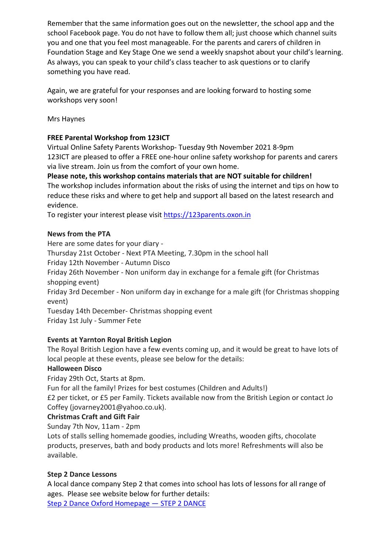Remember that the same information goes out on the newsletter, the school app and the school Facebook page. You do not have to follow them all; just choose which channel suits you and one that you feel most manageable. For the parents and carers of children in Foundation Stage and Key Stage One we send a weekly snapshot about your child's learning. As always, you can speak to your child's class teacher to ask questions or to clarify something you have read.

Again, we are grateful for your responses and are looking forward to hosting some workshops very soon!

Mrs Haynes

# **FREE Parental Workshop from 123ICT**

Virtual Online Safety Parents Workshop- Tuesday 9th November 2021 8-9pm 123ICT are pleased to offer a FREE one-hour online safety workshop for parents and carers via live stream. Join us from the comfort of your own home.

**Please note, this workshop contains materials that are NOT suitable for children!** The workshop includes information about the risks of using the internet and tips on how to reduce these risks and where to get help and support all based on the latest research and evidence.

To register your interest please visit [https://123parents.oxon.in](https://123parents.oxon.in/)

# **News from the PTA**

Here are some dates for your diary -

Thursday 21st October - Next PTA Meeting, 7.30pm in the school hall

Friday 12th November - Autumn Disco

Friday 26th November - Non uniform day in exchange for a female gift (for Christmas shopping event)

Friday 3rd December - Non uniform day in exchange for a male gift (for Christmas shopping event)

Tuesday 14th December- Christmas shopping event Friday 1st July - Summer Fete

# **Events at Yarnton Royal British Legion**

The Royal British Legion have a few events coming up, and it would be great to have lots of local people at these events, please see below for the details:

# **Halloween Disco**

Friday 29th Oct, Starts at 8pm.

Fun for all the family! Prizes for best costumes (Children and Adults!)

£2 per ticket, or £5 per Family. Tickets available now from the British Legion or contact Jo Coffey (jovarney2001@yahoo.co.uk).

# **Christmas Craft and Gift Fair**

Sunday 7th Nov, 11am - 2pm

Lots of stalls selling homemade goodies, including Wreaths, wooden gifts, chocolate products, preserves, bath and body products and lots more! Refreshments will also be available.

# **Step 2 Dance Lessons**

A local dance company Step 2 that comes into school has lots of lessons for all range of ages. Please see website below for further details: [Step 2 Dance Oxford Homepage](https://www.step2dance.co.uk/home) - STEP 2 DANCE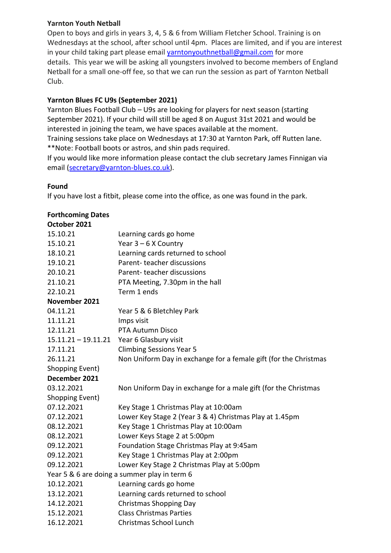### **Yarnton Youth Netball**

Open to boys and girls in years 3, 4, 5 & 6 from William Fletcher School. Training is on Wednesdays at the school, after school until 4pm. Places are limited, and if you are interest in your child taking part please email [yarntonyouthnetball@gmail.com](mailto:yarntonyouthnetball@gmail.com) for more details. This year we will be asking all youngsters involved to become members of England Netball for a small one-off fee, so that we can run the session as part of Yarnton Netball Club.

### **Yarnton Blues FC U9s (September 2021)**

Yarnton Blues Football Club – U9s are looking for players for next season (starting September 2021). If your child will still be aged 8 on August 31st 2021 and would be interested in joining the team, we have spaces available at the moment. Training sessions take place on Wednesdays at 17:30 at Yarnton Park, off Rutten lane.

\*\*Note: Football boots or astros, and shin pads required.

If you would like more information please contact the club secretary James Finnigan via email [\(secretary@yarnton-blues.co.uk\)](mailto:secretary@yarnton-blues.co.uk).

### **Found**

If you have lost a fitbit, please come into the office, as one was found in the park.

### **Forthcoming Dates**

| October 2021                                 |                                                                  |
|----------------------------------------------|------------------------------------------------------------------|
| 15.10.21                                     | Learning cards go home                                           |
| 15.10.21                                     | Year $3 - 6$ X Country                                           |
| 18.10.21                                     | Learning cards returned to school                                |
| 19.10.21                                     | Parent-teacher discussions                                       |
| 20.10.21                                     | Parent-teacher discussions                                       |
| 21.10.21                                     | PTA Meeting, 7.30pm in the hall                                  |
| 22.10.21                                     | Term 1 ends                                                      |
| November 2021                                |                                                                  |
| 04.11.21                                     | Year 5 & 6 Bletchley Park                                        |
| 11.11.21                                     | Imps visit                                                       |
| 12.11.21                                     | PTA Autumn Disco                                                 |
| $15.11.21 - 19.11.21$                        | Year 6 Glasbury visit                                            |
| 17.11.21                                     | <b>Climbing Sessions Year 5</b>                                  |
| 26.11.21                                     | Non Uniform Day in exchange for a female gift (for the Christmas |
| Shopping Event)                              |                                                                  |
| December 2021                                |                                                                  |
| 03.12.2021                                   | Non Uniform Day in exchange for a male gift (for the Christmas   |
| Shopping Event)                              |                                                                  |
| 07.12.2021                                   | Key Stage 1 Christmas Play at 10:00am                            |
| 07.12.2021                                   | Lower Key Stage 2 (Year 3 & 4) Christmas Play at 1.45pm          |
| 08.12.2021                                   | Key Stage 1 Christmas Play at 10:00am                            |
| 08.12.2021                                   | Lower Keys Stage 2 at 5:00pm                                     |
| 09.12.2021                                   | Foundation Stage Christmas Play at 9:45am                        |
| 09.12.2021                                   | Key Stage 1 Christmas Play at 2:00pm                             |
| 09.12.2021                                   | Lower Key Stage 2 Christmas Play at 5:00pm                       |
| Year 5 & 6 are doing a summer play in term 6 |                                                                  |
| 10.12.2021                                   | Learning cards go home                                           |
| 13.12.2021                                   | Learning cards returned to school                                |
| 14.12.2021                                   | <b>Christmas Shopping Day</b>                                    |
| 15.12.2021                                   | <b>Class Christmas Parties</b>                                   |
| 16.12.2021                                   | Christmas School Lunch                                           |